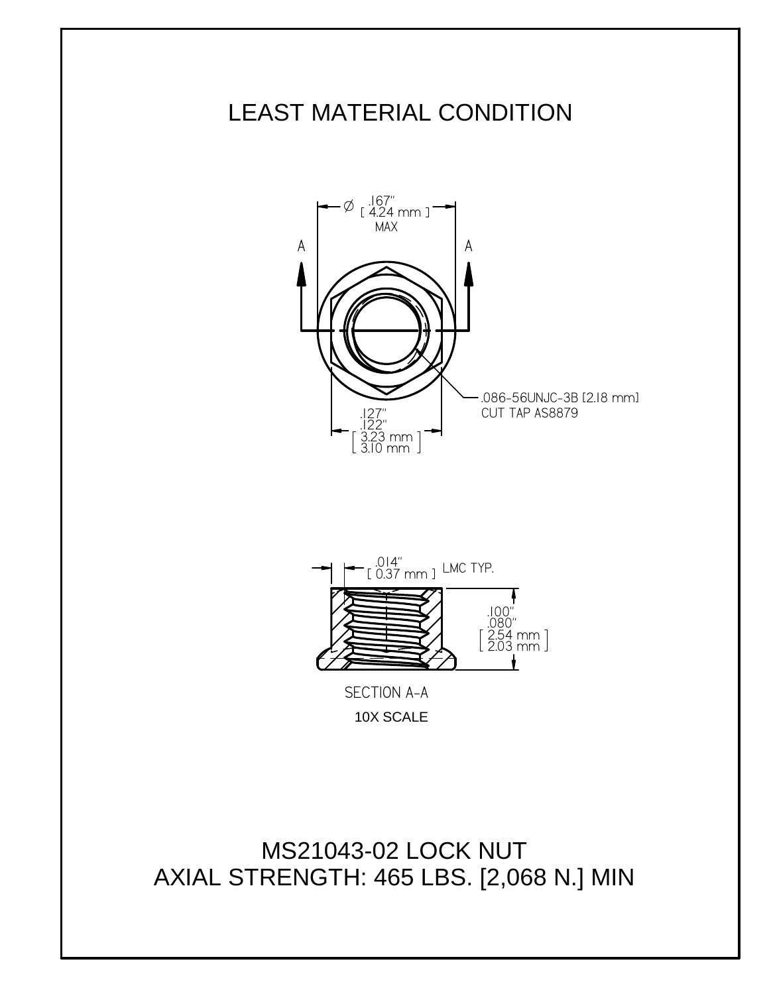



10X SCALE

MS21043-02 LOCK NUT AXIAL STRENGTH: 465 LBS. [2,068 N.] MIN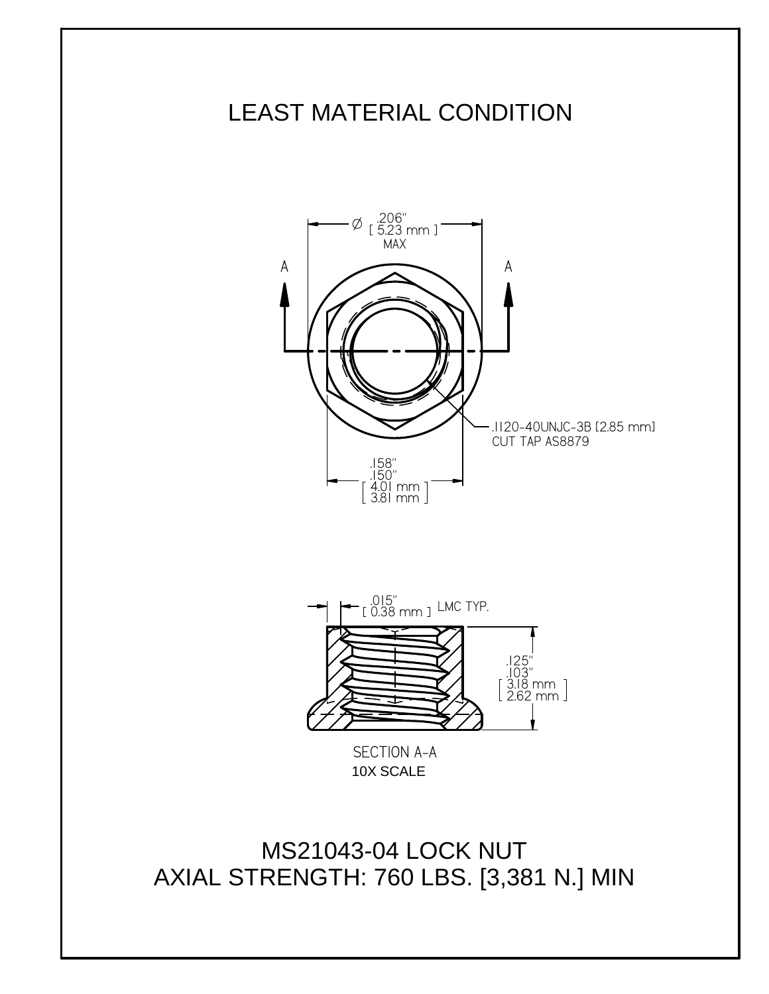



10X SCALE

MS21043-04 LOCK NUT AXIAL STRENGTH: 760 LBS. [3,381 N.] MIN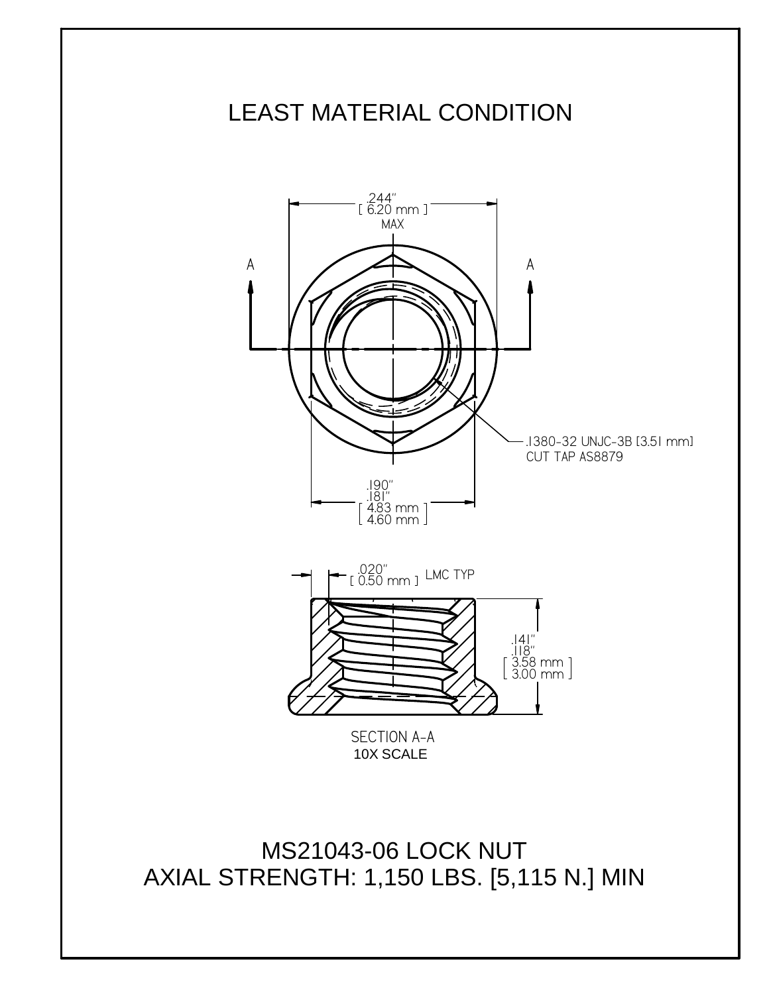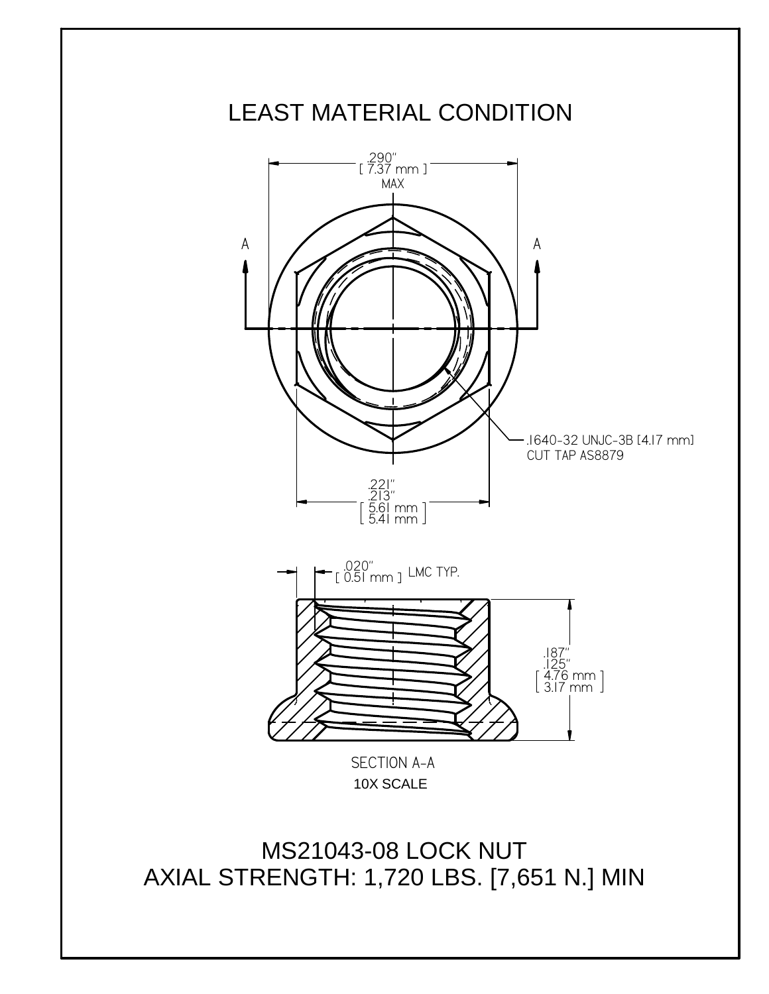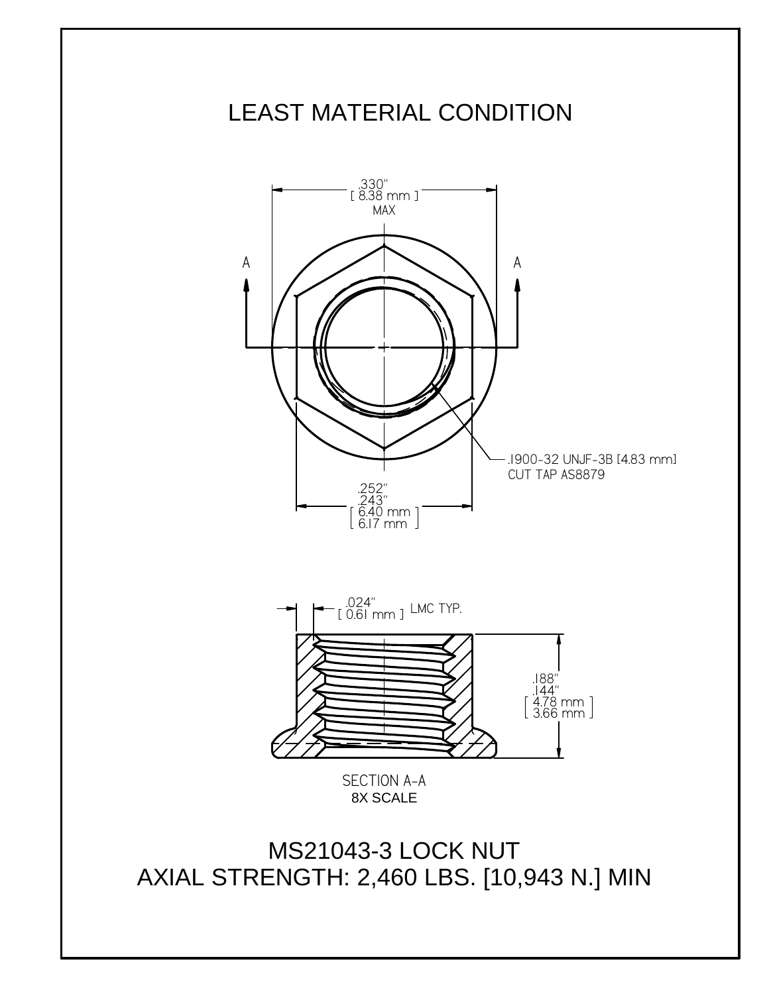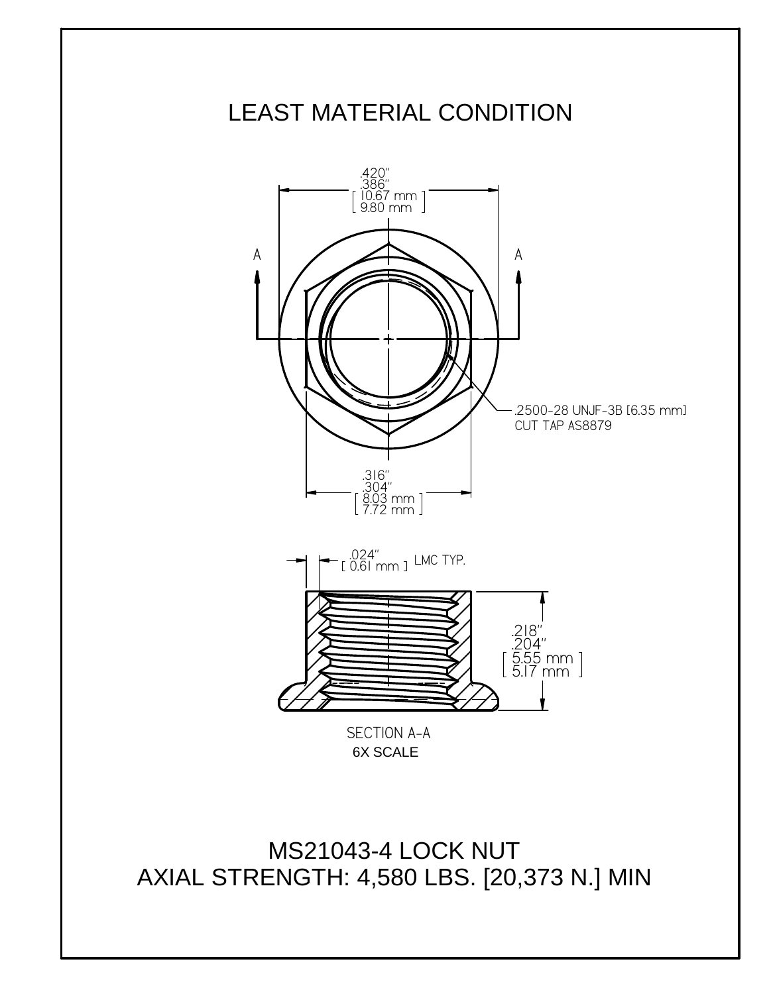

MS21043-4 LOCK NUT AXIAL STRENGTH: 4,580 LBS. [20,373 N.] MIN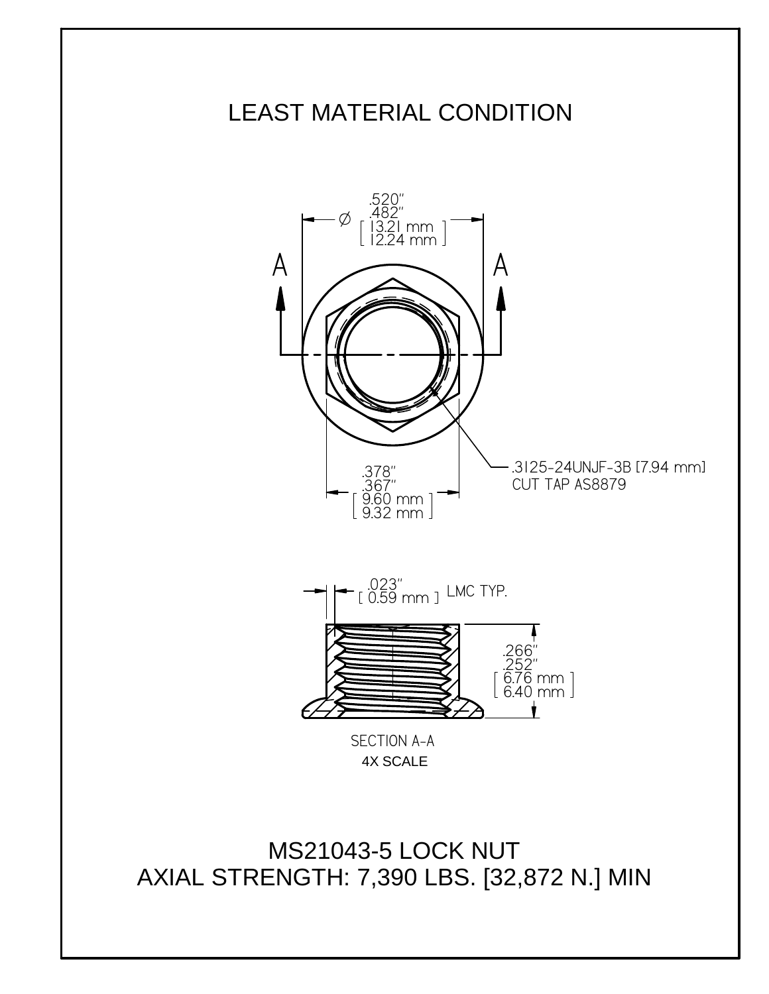

MS21043-5 LOCK NUT AXIAL STRENGTH: 7,390 LBS. [32,872 N.] MIN